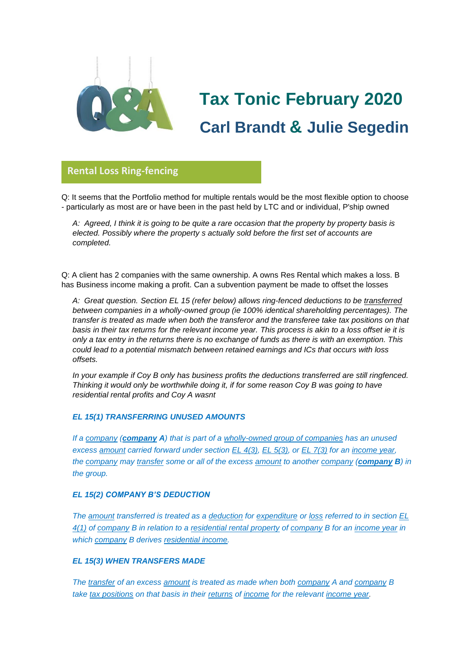

# **Tax Tonic February 2020 Carl Brandt & Julie Segedin**

## **Rental Loss Ring-fencing**

Q: It seems that the Portfolio method for multiple rentals would be the most flexible option to choose - particularly as most are or have been in the past held by LTC and or individual, P'ship owned **glorio**

*A: Agreed, I think it is going to be quite a rare occasion that the property by property basis is elected. Possibly where the property s actually sold before the first set of accounts are completed.*

Q: A client has 2 companies with the same ownership. A owns Res Rental which makes a loss. B has Business income making a profit. Can a subvention payment be made to offset the losses

*A: Great question. Section EL 15 (refer below) allows ring-fenced deductions to be transferred between companies in a wholly-owned group (ie 100% identical shareholding percentages). The transfer is treated as made when both the transferor and the transferee take tax positions on that basis in their tax returns for the relevant income year. This process is akin to a loss offset ie it is only a tax entry in the returns there is no exchange of funds as there is with an exemption. This could lead to a potential mismatch between retained earnings and ICs that occurs with loss offsets.*

*In your example if Coy B only has business profits the deductions transferred are still ringfenced. Thinking it would only be worthwhile doing it, if for some reason Coy B was going to have residential rental profits and Coy A wasnt*

#### *EL 15(1) TRANSFERRING UNUSED AMOUNTS*

*If a [company](javascript:void(0)) ([company](javascript:void(0)) A) that is part of a [wholly-owned group of companies](javascript:void(0)) has an unused excess [amount](javascript:void(0)) carried forward under section [EL 4\(3\),](javascript:void(0)) [EL 5\(3\),](javascript:void(0)) or [EL 7\(3\)](javascript:void(0)) for an [income year,](javascript:void(0)) the [company](javascript:void(0)) may [transfer](javascript:void(0)) some or all of the excess [amount](javascript:void(0)) to another [company](javascript:void(0)) ([company](javascript:void(0)) B) in the group.*

#### *EL 15(2) COMPANY B'S DEDUCTION*

*The [amount](javascript:void(0)) transferred is treated as a [deduction](javascript:void(0)) for [expenditure](javascript:void(0)) or [loss](javascript:void(0)) referred to in section [EL](javascript:void(0))  [4\(1\)](javascript:void(0)) of [company](javascript:void(0)) B in relation to a [residential rental property](javascript:void(0)) of [company](javascript:void(0)) B for an [income year](javascript:void(0)) in which [company](javascript:void(0)) B derives [residential income.](javascript:void(0))*

#### *EL 15(3) WHEN TRANSFERS MADE*

*The [transfer](javascript:void(0)) of an excess [amount](javascript:void(0)) is treated as made when both [company](javascript:void(0)) A and [company](javascript:void(0)) B take [tax positions](javascript:void(0)) on that basis in their [returns](javascript:void(0)) of [income](javascript:void(0)) for the relevant [income year.](javascript:void(0))*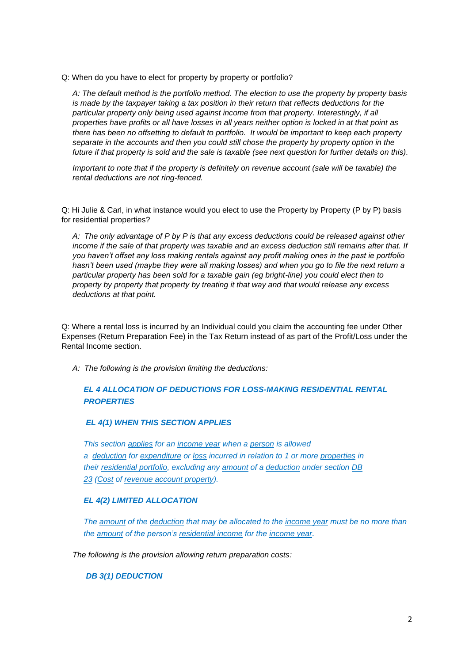Q: When do you have to elect for property by property or portfolio?

*A: The default method is the portfolio method. The election to use the property by property basis is made by the taxpayer taking a tax position in their return that reflects deductions for the particular property only being used against income from that property. Interestingly, if all properties have profits or all have losses in all years neither option is locked in at that point as there has been no offsetting to default to portfolio. It would be important to keep each property separate in the accounts and then you could still chose the property by property option in the future if that property is sold and the sale is taxable (see next question for further details on this).*

*Important to note that if the property is definitely on revenue account (sale will be taxable) the rental deductions are not ring-fenced.*

Q: Hi Julie & Carl, in what instance would you elect to use the Property by Property (P by P) basis for residential properties?

*A: The only advantage of P by P is that any excess deductions could be released against other income if the sale of that property was taxable and an excess deduction still remains after that. If you haven't offset any loss making rentals against any profit making ones in the past ie portfolio hasn't been used (maybe they were all making losses) and when you go to file the next return a particular property has been sold for a taxable gain (eg bright-line) you could elect then to property by property that property by treating it that way and that would release any excess deductions at that point.*

Q: Where a rental loss is incurred by an Individual could you claim the accounting fee under Other Expenses (Return Preparation Fee) in the Tax Return instead of as part of the Profit/Loss under the Rental Income section.

*A: The following is the provision limiting the deductions:*

### *EL 4 ALLOCATION OF DEDUCTIONS FOR LOSS-MAKING RESIDENTIAL RENTAL PROPERTIES*

#### *EL 4(1) WHEN THIS SECTION APPLIES*

*This section [applies](javascript:void(0)) for an [income year](javascript:void(0)) when a [person](javascript:void(0)) is allowed a [deduction](javascript:void(0)) for [expenditure](javascript:void(0)) or [loss](javascript:void(0)) incurred in relation to 1 or more [properties](javascript:void(0)) in their [residential portfolio,](javascript:void(0)) excluding any [amount](javascript:void(0)) of a [deduction](javascript:void(0)) under section [DB](javascript:void(0))  [23](javascript:void(0)) [\(Cost](javascript:void(0)) of [revenue account property\)](javascript:void(0)).*

#### *EL 4(2) LIMITED ALLOCATION*

*The [amount](javascript:void(0)) of the [deduction](javascript:void(0)) that may be allocated to the [income year](javascript:void(0)) must be no more than the [amount](javascript:void(0)) of the person's [residential income](javascript:void(0)) for the [income year](javascript:void(0)).*

*The following is the provision allowing return preparation costs:*

*DB 3(1) DEDUCTION*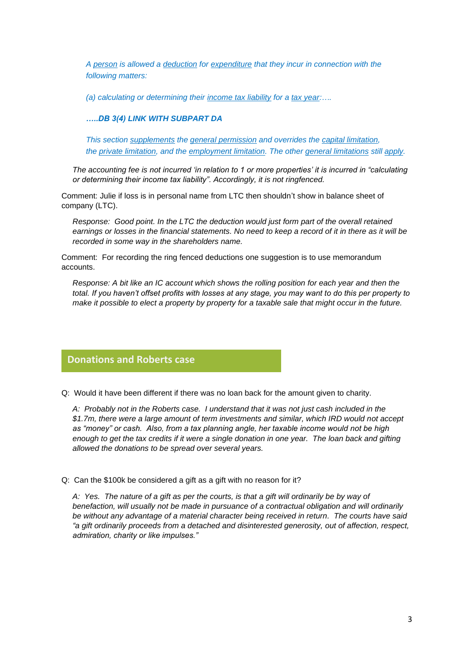*A [person](javascript:void(0)) is allowed a [deduction](javascript:void(0)) for [expenditure](javascript:void(0)) that they incur in connection with the following matters:*

*(a) calculating or determining their [income tax liability](javascript:void(0)) for a [tax year:](javascript:void(0))….* 

#### *…..DB 3(4) LINK WITH SUBPART DA*

*This section [supplements](javascript:void(0)) the [general permission](javascript:void(0)) and overrides the [capital limitation,](javascript:void(0)) the [private limitation,](javascript:void(0)) and the [employment limitation.](javascript:void(0)) The other [general limitations](javascript:void(0)) still [apply.](javascript:void(0))*

*The accounting fee is not incurred 'in relation to 1 or more properties' it is incurred in "calculating or determining their income tax liability". Accordingly, it is not ringfenced.*

Comment: Julie if loss is in personal name from LTC then shouldn't show in balance sheet of company (LTC).

*Response: Good point. In the LTC the deduction would just form part of the overall retained earnings or losses in the financial statements. No need to keep a record of it in there as it will be recorded in some way in the shareholders name.*

Comment: For recording the ring fenced deductions one suggestion is to use memorandum accounts.

*Response: A bit like an IC account which shows the rolling position for each year and then the total. If you haven't offset profits with losses at any stage, you may want to do this per property to make it possible to elect a property by property for a taxable sale that might occur in the future.* 

# **Donations and Roberts case**

Q: Would it have been different if there was no loan back for the amount given to charity.

*A: Probably not in the Roberts case. I understand that it was not just cash included in the \$1.7m, there were a large amount of term investments and similar, which IRD would not accept as "money" or cash. Also, from a tax planning angle, her taxable income would not be high enough to get the tax credits if it were a single donation in one year. The loan back and gifting allowed the donations to be spread over several years.*

Q: Can the \$100k be considered a gift as a gift with no reason for it?

*A: Yes. The nature of a gift as per the courts, is that a gift will ordinarily be by way of benefaction, will usually not be made in pursuance of a contractual obligation and will ordinarily be without any advantage of a material character being received in return. The courts have said "a gift ordinarily proceeds from a detached and disinterested generosity, out of affection, respect, admiration, charity or like impulses."*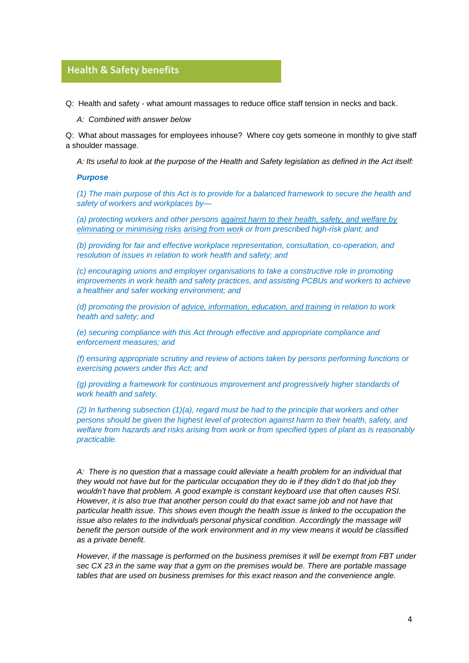## **Health & Safety benefits**

Q: Health and safety - what amount massages to reduce office staff tension in necks and back. **glorio**

*A: Combined with answer below*

Q: What about massages for employees inhouse? Where coy gets someone in monthly to give staff a shoulder massage.

*A: Its useful to look at the purpose of the Health and Safety legislation as defined in the Act itself:*

#### *Purpose*

*(1) The main purpose of this Act is to provide for a balanced framework to secure the health and safety of workers and workplaces by—*

*(a) protecting workers and other persons against harm to their health, safety, and welfare by eliminating or minimising risks arising from work or from prescribed high-risk plant; and*

*(b) providing for fair and effective workplace representation, consultation, co-operation, and resolution of issues in relation to work health and safety; and*

*(c) encouraging unions and employer organisations to take a constructive role in promoting improvements in work health and safety practices, and assisting PCBUs and workers to achieve a healthier and safer working environment; and*

*(d) promoting the provision of advice, information, education, and training in relation to work health and safety; and*

*(e) securing compliance with this Act through effective and appropriate compliance and enforcement measures; and*

*(f) ensuring appropriate scrutiny and review of actions taken by persons performing functions or exercising powers under this Act; and*

*(g) providing a framework for continuous improvement and progressively higher standards of work health and safety.*

*(2) In furthering subsection (1)(a), regard must be had to the principle that workers and other persons should be given the highest level of protection against harm to their health, safety, and welfare from hazards and risks arising from work or from specified types of plant as is reasonably practicable.*

*A: There is no question that a massage could alleviate a health problem for an individual that they would not have but for the particular occupation they do ie if they didn't do that job they wouldn't have that problem. A good example is constant keyboard use that often causes RSI. However, it is also true that another person could do that exact same job and not have that particular health issue. This shows even though the health issue is linked to the occupation the issue also relates to the individuals personal physical condition. Accordingly the massage will benefit the person outside of the work environment and in my view means it would be classified as a private benefit.* 

*However, if the massage is performed on the business premises it will be exempt from FBT under sec CX 23 in the same way that a gym on the premises would be. There are portable massage tables that are used on business premises for this exact reason and the convenience angle.*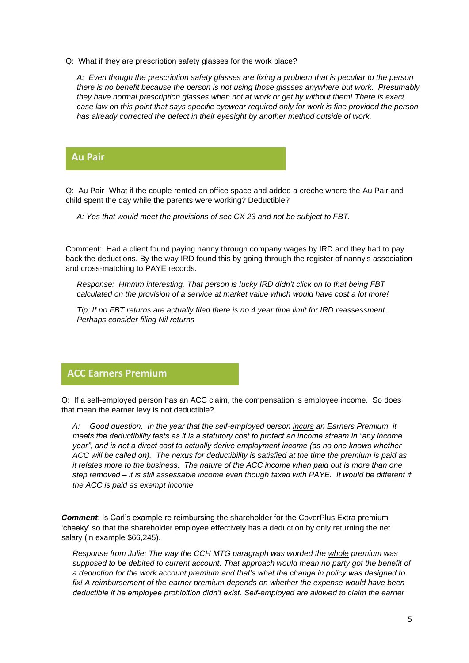Q: What if they are prescription safety glasses for the work place?

*A: Even though the prescription safety glasses are fixing a problem that is peculiar to the person there is no benefit because the person is not using those glasses anywhere but work. Presumably they have normal prescription glasses when not at work or get by without them! There is exact case law on this point that says specific eyewear required only for work is fine provided the person has already corrected the defect in their eyesight by another method outside of work.*

## **Au Pair**

Q: Au Pair- What if the couple rented an office space and added a creche where the Au Pair and **glorio**child spent the day while the parents were working? Deductible?

*A: Yes that would meet the provisions of sec CX 23 and not be subject to FBT.*

Comment: Had a client found paying nanny through company wages by IRD and they had to pay back the deductions. By the way IRD found this by going through the register of nanny's association and cross-matching to PAYE records.

*Response: Hmmm interesting. That person is lucky IRD didn't click on to that being FBT calculated on the provision of a service at market value which would have cost a lot more!*

*Tip: If no FBT returns are actually filed there is no 4 year time limit for IRD reassessment. Perhaps consider filing Nil returns*

## **ACC Earners Premium**

Q: If a self-employed person has an ACC claim, the compensation is employee income. So does that mean the earner levy is not deductible?.

*A: Good question. In the year that the self-employed person incurs an Earners Premium, it meets the deductibility tests as it is a statutory cost to protect an income stream in "any income year", and is not a direct cost to actually derive employment income (as no one knows whether ACC will be called on). The nexus for deductibility is satisfied at the time the premium is paid as it relates more to the business. The nature of the ACC income when paid out is more than one step removed – it is still assessable income even though taxed with PAYE. It would be different if the ACC is paid as exempt income.*

**Comment:** Is Carl's example re reimbursing the shareholder for the CoverPlus Extra premium 'cheeky' so that the shareholder employee effectively has a deduction by only returning the net salary (in example \$66,245).

*Response from Julie: The way the CCH MTG paragraph was worded the whole premium was supposed to be debited to current account. That approach would mean no party got the benefit of a deduction for the work account premium and that's what the change in policy was designed to fix! A reimbursement of the earner premium depends on whether the expense would have been deductible if he employee prohibition didn't exist. Self-employed are allowed to claim the earner*